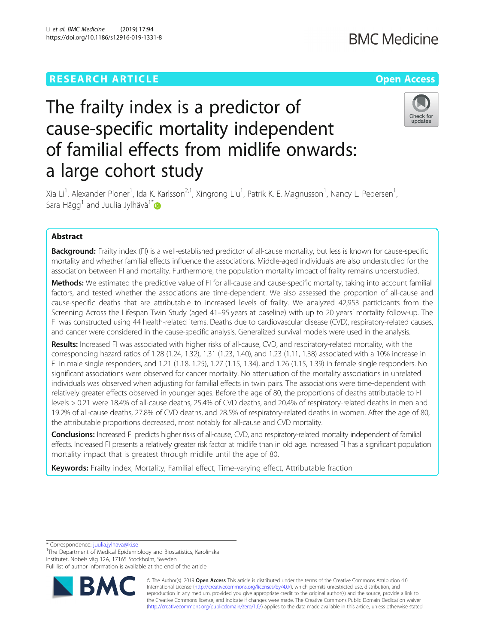## **RESEARCH ARTICLE Example 2014 12:30 The Contract of Contract Article 2014**

## **BMC Medicine**

# The frailty index is a predictor of cause-specific mortality independent of familial effects from midlife onwards: a large cohort study



Xia Li<sup>1</sup>, Alexander Ploner<sup>1</sup>, Ida K. Karlsson<sup>2,1</sup>, Xingrong Liu<sup>1</sup>, Patrik K. E. Magnusson<sup>1</sup>, Nancy L. Pedersen<sup>1</sup> , Sara Hägg<sup>1</sup> and Juulia Jylhävä<sup>1\*</sup>

### Abstract

**Background:** Frailty index (FI) is a well-established predictor of all-cause mortality, but less is known for cause-specific mortality and whether familial effects influence the associations. Middle-aged individuals are also understudied for the association between FI and mortality. Furthermore, the population mortality impact of frailty remains understudied.

Methods: We estimated the predictive value of FI for all-cause and cause-specific mortality, taking into account familial factors, and tested whether the associations are time-dependent. We also assessed the proportion of all-cause and cause-specific deaths that are attributable to increased levels of frailty. We analyzed 42,953 participants from the Screening Across the Lifespan Twin Study (aged 41–95 years at baseline) with up to 20 years' mortality follow-up. The FI was constructed using 44 health-related items. Deaths due to cardiovascular disease (CVD), respiratory-related causes, and cancer were considered in the cause-specific analysis. Generalized survival models were used in the analysis.

Results: Increased FI was associated with higher risks of all-cause, CVD, and respiratory-related mortality, with the corresponding hazard ratios of 1.28 (1.24, 1.32), 1.31 (1.23, 1.40), and 1.23 (1.11, 1.38) associated with a 10% increase in FI in male single responders, and 1.21 (1.18, 1.25), 1.27 (1.15, 1.34), and 1.26 (1.15, 1.39) in female single responders. No significant associations were observed for cancer mortality. No attenuation of the mortality associations in unrelated individuals was observed when adjusting for familial effects in twin pairs. The associations were time-dependent with relatively greater effects observed in younger ages. Before the age of 80, the proportions of deaths attributable to FI levels > 0.21 were 18.4% of all-cause deaths, 25.4% of CVD deaths, and 20.4% of respiratory-related deaths in men and 19.2% of all-cause deaths, 27.8% of CVD deaths, and 28.5% of respiratory-related deaths in women. After the age of 80, the attributable proportions decreased, most notably for all-cause and CVD mortality.

Conclusions: Increased FI predicts higher risks of all-cause, CVD, and respiratory-related mortality independent of familial effects. Increased FI presents a relatively greater risk factor at midlife than in old age. Increased FI has a significant population mortality impact that is greatest through midlife until the age of 80.

Keywords: Frailty index, Mortality, Familial effect, Time-varying effect, Attributable fraction

\* Correspondence: [juulia.jylhava@ki.se](mailto:juulia.jylhava@ki.se) <sup>1</sup>

<sup>1</sup>The Department of Medical Epidemiology and Biostatistics, Karolinska Institutet, Nobels väg 12A, 17165 Stockholm, Sweden

Full list of author information is available at the end of the article



© The Author(s). 2019 **Open Access** This article is distributed under the terms of the Creative Commons Attribution 4.0 International License [\(http://creativecommons.org/licenses/by/4.0/](http://creativecommons.org/licenses/by/4.0/)), which permits unrestricted use, distribution, and reproduction in any medium, provided you give appropriate credit to the original author(s) and the source, provide a link to the Creative Commons license, and indicate if changes were made. The Creative Commons Public Domain Dedication waiver [\(http://creativecommons.org/publicdomain/zero/1.0/](http://creativecommons.org/publicdomain/zero/1.0/)) applies to the data made available in this article, unless otherwise stated.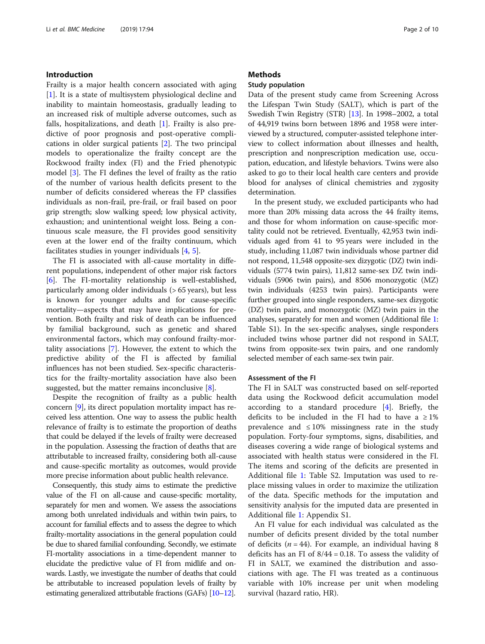#### Introduction

Frailty is a major health concern associated with aging [[1\]](#page-8-0). It is a state of multisystem physiological decline and inability to maintain homeostasis, gradually leading to an increased risk of multiple adverse outcomes, such as falls, hospitalizations, and death  $[1]$  $[1]$  $[1]$ . Frailty is also predictive of poor prognosis and post-operative complications in older surgical patients [\[2](#page-8-0)]. The two principal models to operationalize the frailty concept are the Rockwood frailty index (FI) and the Fried phenotypic model [[3\]](#page-8-0). The FI defines the level of frailty as the ratio of the number of various health deficits present to the number of deficits considered whereas the FP classifies individuals as non-frail, pre-frail, or frail based on poor grip strength; slow walking speed; low physical activity, exhaustion; and unintentional weight loss. Being a continuous scale measure, the FI provides good sensitivity even at the lower end of the frailty continuum, which facilitates studies in younger individuals [\[4](#page-8-0), [5](#page-8-0)].

The FI is associated with all-cause mortality in different populations, independent of other major risk factors [[6\]](#page-8-0). The FI-mortality relationship is well-established, particularly among older individuals (> 65 years), but less is known for younger adults and for cause-specific mortality—aspects that may have implications for prevention. Both frailty and risk of death can be influenced by familial background, such as genetic and shared environmental factors, which may confound frailty-mortality associations [\[7](#page-8-0)]. However, the extent to which the predictive ability of the FI is affected by familial influences has not been studied. Sex-specific characteristics for the frailty-mortality association have also been suggested, but the matter remains inconclusive  $[8]$  $[8]$ .

Despite the recognition of frailty as a public health concern [\[9\]](#page-8-0), its direct population mortality impact has received less attention. One way to assess the public health relevance of frailty is to estimate the proportion of deaths that could be delayed if the levels of frailty were decreased in the population. Assessing the fraction of deaths that are attributable to increased frailty, considering both all-cause and cause-specific mortality as outcomes, would provide more precise information about public health relevance.

Consequently, this study aims to estimate the predictive value of the FI on all-cause and cause-specific mortality, separately for men and women. We assess the associations among both unrelated individuals and within twin pairs, to account for familial effects and to assess the degree to which frailty-mortality associations in the general population could be due to shared familial confounding. Secondly, we estimate FI-mortality associations in a time-dependent manner to elucidate the predictive value of FI from midlife and onwards. Lastly, we investigate the number of deaths that could be attributable to increased population levels of frailty by estimating generalized attributable fractions (GAFs) [\[10](#page-8-0)–[12](#page-8-0)].

#### **Methods**

#### Study population

Data of the present study came from Screening Across the Lifespan Twin Study (SALT), which is part of the Swedish Twin Registry (STR) [\[13\]](#page-8-0). In 1998–2002, a total of 44,919 twins born between 1896 and 1958 were interviewed by a structured, computer-assisted telephone interview to collect information about illnesses and health, prescription and nonprescription medication use, occupation, education, and lifestyle behaviors. Twins were also asked to go to their local health care centers and provide blood for analyses of clinical chemistries and zygosity determination.

In the present study, we excluded participants who had more than 20% missing data across the 44 frailty items, and those for whom information on cause-specific mortality could not be retrieved. Eventually, 42,953 twin individuals aged from 41 to 95 years were included in the study, including 11,087 twin individuals whose partner did not respond, 11,548 opposite-sex dizygotic (DZ) twin individuals (5774 twin pairs), 11,812 same-sex DZ twin individuals (5906 twin pairs), and 8506 monozygotic (MZ) twin individuals (4253 twin pairs). Participants were further grouped into single responders, same-sex dizygotic (DZ) twin pairs, and monozygotic (MZ) twin pairs in the analyses, separately for men and women (Additional file [1](#page-7-0): Table S1). In the sex-specific analyses, single responders included twins whose partner did not respond in SALT, twins from opposite-sex twin pairs, and one randomly selected member of each same-sex twin pair.

#### Assessment of the FI

The FI in SALT was constructed based on self-reported data using the Rockwood deficit accumulation model according to a standard procedure [[4\]](#page-8-0). Briefly, the deficits to be included in the FI had to have a  $\geq 1\%$ prevalence and  $\leq 10\%$  missingness rate in the study population. Forty-four symptoms, signs, disabilities, and diseases covering a wide range of biological systems and associated with health status were considered in the FI. The items and scoring of the deficits are presented in Additional file [1](#page-7-0): Table S2. Imputation was used to replace missing values in order to maximize the utilization of the data. Specific methods for the imputation and sensitivity analysis for the imputed data are presented in Additional file [1](#page-7-0): Appendix S1.

An FI value for each individual was calculated as the number of deficits present divided by the total number of deficits ( $n = 44$ ). For example, an individual having 8 deficits has an FI of 8/44 = 0.18. To assess the validity of FI in SALT, we examined the distribution and associations with age. The FI was treated as a continuous variable with 10% increase per unit when modeling survival (hazard ratio, HR).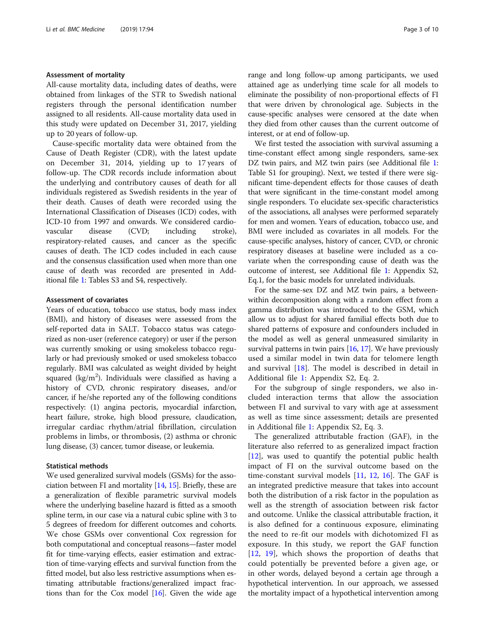#### Assessment of mortality

All-cause mortality data, including dates of deaths, were obtained from linkages of the STR to Swedish national registers through the personal identification number assigned to all residents. All-cause mortality data used in this study were updated on December 31, 2017, yielding up to 20 years of follow-up.

Cause-specific mortality data were obtained from the Cause of Death Register (CDR), with the latest update on December 31, 2014, yielding up to 17 years of follow-up. The CDR records include information about the underlying and contributory causes of death for all individuals registered as Swedish residents in the year of their death. Causes of death were recorded using the International Classification of Diseases (ICD) codes, with ICD-10 from 1997 and onwards. We considered cardiovascular disease (CVD; including stroke), respiratory-related causes, and cancer as the specific causes of death. The ICD codes included in each cause and the consensus classification used when more than one cause of death was recorded are presented in Additional file [1:](#page-7-0) Tables S3 and S4, respectively.

#### Assessment of covariates

Years of education, tobacco use status, body mass index (BMI), and history of diseases were assessed from the self-reported data in SALT. Tobacco status was categorized as non-user (reference category) or user if the person was currently smoking or using smokeless tobacco regularly or had previously smoked or used smokeless tobacco regularly. BMI was calculated as weight divided by height squared (kg/m<sup>2</sup>). Individuals were classified as having a history of CVD, chronic respiratory diseases, and/or cancer, if he/she reported any of the following conditions respectively: (1) angina pectoris, myocardial infarction, heart failure, stroke, high blood pressure, claudication, irregular cardiac rhythm/atrial fibrillation, circulation problems in limbs, or thrombosis, (2) asthma or chronic lung disease, (3) cancer, tumor disease, or leukemia.

#### Statistical methods

We used generalized survival models (GSMs) for the association between FI and mortality [[14](#page-8-0), [15\]](#page-8-0). Briefly, these are a generalization of flexible parametric survival models where the underlying baseline hazard is fitted as a smooth spline term, in our case via a natural cubic spline with 3 to 5 degrees of freedom for different outcomes and cohorts. We chose GSMs over conventional Cox regression for both computational and conceptual reasons—faster model fit for time-varying effects, easier estimation and extraction of time-varying effects and survival function from the fitted model, but also less restrictive assumptions when estimating attributable fractions/generalized impact fractions than for the Cox model [[16](#page-8-0)]. Given the wide age range and long follow-up among participants, we used attained age as underlying time scale for all models to eliminate the possibility of non-proportional effects of FI that were driven by chronological age. Subjects in the cause-specific analyses were censored at the date when they died from other causes than the current outcome of interest, or at end of follow-up.

We first tested the association with survival assuming a time-constant effect among single responders, same-sex DZ twin pairs, and MZ twin pairs (see Additional file [1](#page-7-0): Table S1 for grouping). Next, we tested if there were significant time-dependent effects for those causes of death that were significant in the time-constant model among single responders. To elucidate sex-specific characteristics of the associations, all analyses were performed separately for men and women. Years of education, tobacco use, and BMI were included as covariates in all models. For the cause-specific analyses, history of cancer, CVD, or chronic respiratory diseases at baseline were included as a covariate when the corresponding cause of death was the outcome of interest, see Additional file [1:](#page-7-0) Appendix S2, Eq.1, for the basic models for unrelated individuals.

For the same-sex DZ and MZ twin pairs, a betweenwithin decomposition along with a random effect from a gamma distribution was introduced to the GSM, which allow us to adjust for shared familial effects both due to shared patterns of exposure and confounders included in the model as well as general unmeasured similarity in survival patterns in twin pairs [[16](#page-8-0), [17\]](#page-8-0). We have previously used a similar model in twin data for telomere length and survival [\[18\]](#page-8-0). The model is described in detail in Additional file [1](#page-7-0): Appendix S2, Eq. 2.

For the subgroup of single responders, we also included interaction terms that allow the association between FI and survival to vary with age at assessment as well as time since assessment; details are presented in Additional file [1](#page-7-0): Appendix S2, Eq. 3.

The generalized attributable fraction (GAF), in the literature also referred to as generalized impact fraction [[12\]](#page-8-0), was used to quantify the potential public health impact of FI on the survival outcome based on the time-constant survival models [[11](#page-8-0), [12](#page-8-0), [16](#page-8-0)]. The GAF is an integrated predictive measure that takes into account both the distribution of a risk factor in the population as well as the strength of association between risk factor and outcome. Unlike the classical attributable fraction, it is also defined for a continuous exposure, eliminating the need to re-fit our models with dichotomized FI as exposure. In this study, we report the GAF function [[12,](#page-8-0) [19\]](#page-8-0), which shows the proportion of deaths that could potentially be prevented before a given age, or in other words, delayed beyond a certain age through a hypothetical intervention. In our approach, we assessed the mortality impact of a hypothetical intervention among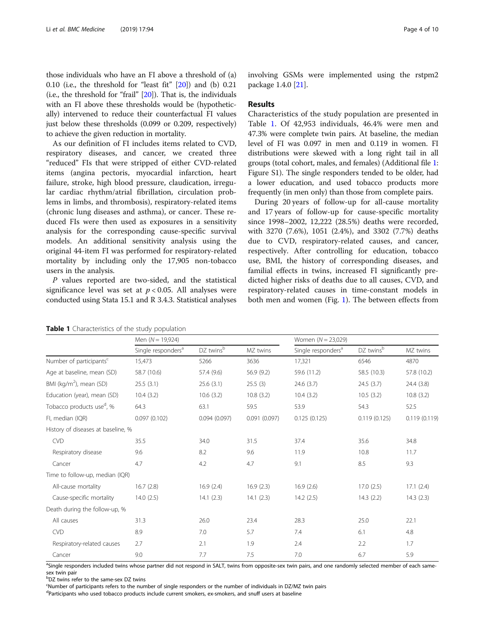those individuals who have an FI above a threshold of (a) 0.10 (i.e., the threshold for "least fit" [[20](#page-8-0)]) and (b) 0.21 (i.e., the threshold for "frail" [\[20](#page-8-0)]). That is, the individuals with an FI above these thresholds would be (hypothetically) intervened to reduce their counterfactual FI values just below these thresholds (0.099 or 0.209, respectively) to achieve the given reduction in mortality.

As our definition of FI includes items related to CVD, respiratory diseases, and cancer, we created three "reduced" FIs that were stripped of either CVD-related items (angina pectoris, myocardial infarction, heart failure, stroke, high blood pressure, claudication, irregular cardiac rhythm/atrial fibrillation, circulation problems in limbs, and thrombosis), respiratory-related items (chronic lung diseases and asthma), or cancer. These reduced FIs were then used as exposures in a sensitivity analysis for the corresponding cause-specific survival models. An additional sensitivity analysis using the original 44-item FI was performed for respiratory-related mortality by including only the 17,905 non-tobacco users in the analysis.

P values reported are two-sided, and the statistical significance level was set at  $p < 0.05$ . All analyses were conducted using Stata 15.1 and R 3.4.3. Statistical analyses

| Table 1 Characteristics of the study population |  |  |  |
|-------------------------------------------------|--|--|--|
|-------------------------------------------------|--|--|--|

involving GSMs were implemented using the rstpm2 package 1.4.0 [\[21](#page-8-0)].

#### Results

Characteristics of the study population are presented in Table 1. Of 42,953 individuals, 46.4% were men and 47.3% were complete twin pairs. At baseline, the median level of FI was 0.097 in men and 0.119 in women. FI distributions were skewed with a long right tail in all groups (total cohort, males, and females) (Additional file [1](#page-7-0): Figure S1). The single responders tended to be older, had a lower education, and used tobacco products more frequently (in men only) than those from complete pairs.

During 20 years of follow-up for all-cause mortality and 17 years of follow-up for cause-specific mortality since 1998–2002, 12,222 (28.5%) deaths were recorded, with 3270 (7.6%), 1051 (2.4%), and 3302 (7.7%) deaths due to CVD, respiratory-related causes, and cancer, respectively. After controlling for education, tobacco use, BMI, the history of corresponding diseases, and familial effects in twins, increased FI significantly predicted higher risks of deaths due to all causes, CVD, and respiratory-related causes in time-constant models in both men and women (Fig. [1\)](#page-4-0). The between effects from

|                                       | Men $(N = 19,924)$             |              |              | Women $(N = 23,029)$           |              |              |
|---------------------------------------|--------------------------------|--------------|--------------|--------------------------------|--------------|--------------|
|                                       | Single responders <sup>a</sup> | DZ twinsb    | MZ twins     | Single responders <sup>a</sup> | DZ twinsb    | MZ twins     |
| Number of participants <sup>c</sup>   | 15,473                         | 5266         | 3636         | 17,321                         | 6546         | 4870         |
| Age at baseline, mean (SD)            | 58.7 (10.6)                    | 57.4 (9.6)   | 56.9 (9.2)   | 59.6 (11.2)                    | 58.5 (10.3)  | 57.8 (10.2)  |
| BMI ( $kg/m2$ ), mean (SD)            | 25.5(3.1)                      | 25.6(3.1)    | 25.5(3)      | 24.6(3.7)                      | 24.5(3.7)    | 24.4 (3.8)   |
| Education (year), mean (SD)           | 10.4(3.2)                      | 10.6(3.2)    | 10.8(3.2)    | 10.4(3.2)                      | 10.5(3.2)    | 10.8(3.2)    |
| Tobacco products use <sup>d</sup> , % | 64.3                           | 63.1         | 59.5         | 53.9                           | 54.3         | 52.5         |
| FI, median (IQR)                      | 0.097(0.102)                   | 0.094(0.097) | 0.091(0.097) | 0.125(0.125)                   | 0.119(0.125) | 0.119(0.119) |
| History of diseases at baseline, %    |                                |              |              |                                |              |              |
| <b>CVD</b>                            | 35.5                           | 34.0         | 31.5         | 37.4                           | 35.6         | 34.8         |
| Respiratory disease                   | 9.6                            | 8.2          | 9.6          | 11.9                           | 10.8         | 11.7         |
| Cancer                                | 4.7                            | 4.2          | 4.7          | 9.1                            | 8.5          | 9.3          |
| Time to follow-up, median (IQR)       |                                |              |              |                                |              |              |
| All-cause mortality                   | 16.7(2.8)                      | 16.9(2.4)    | 16.9(2.3)    | 16.9(2.6)                      | 17.0(2.5)    | 17.1(2.4)    |
| Cause-specific mortality              | 14.0(2.5)                      | 14.1(2.3)    | 14.1(2.3)    | 14.2(2.5)                      | 14.3(2.2)    | 14.3(2.3)    |
| Death during the follow-up, %         |                                |              |              |                                |              |              |
| All causes                            | 31.3                           | 26.0         | 23.4         | 28.3                           | 25.0         | 22.1         |
| <b>CVD</b>                            | 8.9                            | 7.0          | 5.7          | 7.4                            | 6.1          | 4.8          |
| Respiratory-related causes            | 2.7                            | 2.1          | 1.9          | 2.4                            | 2.2          | 1.7          |
| Cancer                                | 9.0                            | 7.7          | 7.5          | 7.0                            | 6.7          | 5.9          |

<sup>a</sup>Single responders included twins whose partner did not respond in SALT, twins from opposite-sex twin pairs, and one randomly selected member of each samesex twin pair

b DZ twins refer to the same-sex DZ twins

c Number of participants refers to the number of single responders or the number of individuals in DZ/MZ twin pairs

<sup>d</sup>Participants who used tobacco products include current smokers, ex-smokers, and snuff users at baseline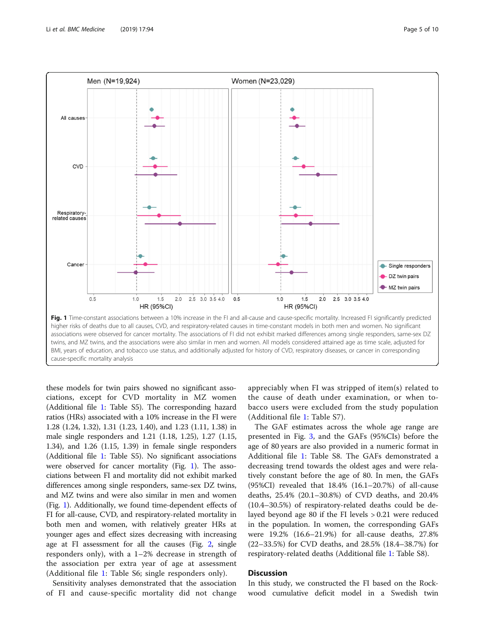<span id="page-4-0"></span>

these models for twin pairs showed no significant associations, except for CVD mortality in MZ women (Additional file [1](#page-7-0): Table S5). The corresponding hazard ratios (HRs) associated with a 10% increase in the FI were 1.28 (1.24, 1.32), 1.31 (1.23, 1.40), and 1.23 (1.11, 1.38) in male single responders and 1.21 (1.18, 1.25), 1.27 (1.15, 1.34), and 1.26 (1.15, 1.39) in female single responders (Additional file [1](#page-7-0): Table S5). No significant associations were observed for cancer mortality (Fig. 1). The associations between FI and mortality did not exhibit marked differences among single responders, same-sex DZ twins, and MZ twins and were also similar in men and women (Fig. 1). Additionally, we found time-dependent effects of FI for all-cause, CVD, and respiratory-related mortality in both men and women, with relatively greater HRs at younger ages and effect sizes decreasing with increasing age at FI assessment for all the causes (Fig. [2](#page-5-0), single responders only), with a 1–2% decrease in strength of the association per extra year of age at assessment (Additional file [1:](#page-7-0) Table S6; single responders only).

Sensitivity analyses demonstrated that the association of FI and cause-specific mortality did not change appreciably when FI was stripped of item(s) related to the cause of death under examination, or when tobacco users were excluded from the study population (Additional file [1](#page-7-0): Table S7).

The GAF estimates across the whole age range are presented in Fig. [3,](#page-5-0) and the GAFs (95%CIs) before the age of 80 years are also provided in a numeric format in Additional file [1:](#page-7-0) Table S8. The GAFs demonstrated a decreasing trend towards the oldest ages and were relatively constant before the age of 80. In men, the GAFs (95%CI) revealed that 18.4% (16.1–20.7%) of all-cause deaths, 25.4% (20.1–30.8%) of CVD deaths, and 20.4% (10.4–30.5%) of respiratory-related deaths could be delayed beyond age 80 if the FI levels > 0.21 were reduced in the population. In women, the corresponding GAFs were 19.2% (16.6–21.9%) for all-cause deaths, 27.8% (22–33.5%) for CVD deaths, and 28.5% (18.4–38.7%) for respiratory-related deaths (Additional file [1:](#page-7-0) Table S8).

### **Discussion**

In this study, we constructed the FI based on the Rockwood cumulative deficit model in a Swedish twin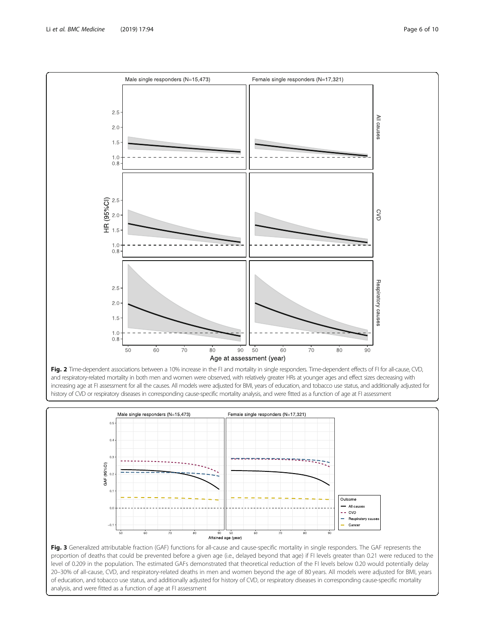Fig. 2 Time-dependent associations between a 10% increase in the FI and mortality in single responders. Time-dependent effects of FI for all-cause, CVD, and respiratory-related mortality in both men and women were observed, with relatively greater HRs at younger ages and effect sizes decreasing with increasing age at FI assessment for all the causes. All models were adjusted for BMI, years of education, and tobacco use status, and additionally adjusted for history of CVD or respiratory diseases in corresponding cause-specific mortality analysis, and were fitted as a function of age at FI assessment





Male single responders (N=15,473)

<span id="page-5-0"></span>

Female single responders (N=17,321)

proportion of deaths that could be prevented before a given age (i.e., delayed beyond that age) if FI levels greater than 0.21 were reduced to the level of 0.209 in the population. The estimated GAFs demonstrated that theoretical reduction of the FI levels below 0.20 would potentially delay 20–30% of all-cause, CVD, and respiratory-related deaths in men and women beyond the age of 80 years. All models were adjusted for BMI, years of education, and tobacco use status, and additionally adjusted for history of CVD, or respiratory diseases in corresponding cause-specific mortality analysis, and were fitted as a function of age at FI assessment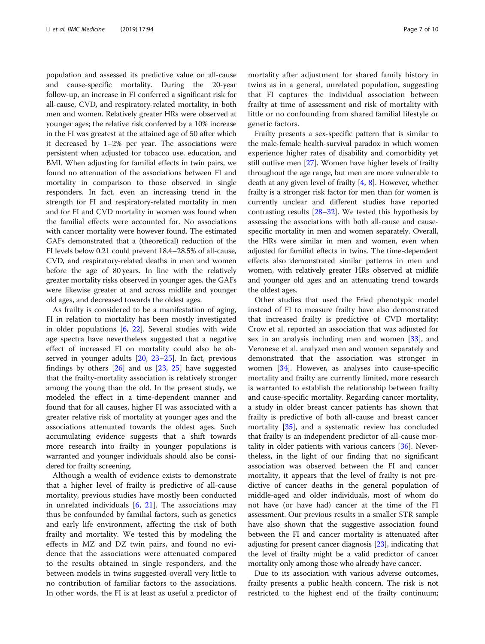population and assessed its predictive value on all-cause and cause-specific mortality. During the 20-year follow-up, an increase in FI conferred a significant risk for all-cause, CVD, and respiratory-related mortality, in both men and women. Relatively greater HRs were observed at younger ages; the relative risk conferred by a 10% increase in the FI was greatest at the attained age of 50 after which it decreased by 1–2% per year. The associations were persistent when adjusted for tobacco use, education, and BMI. When adjusting for familial effects in twin pairs, we found no attenuation of the associations between FI and mortality in comparison to those observed in single responders. In fact, even an increasing trend in the strength for FI and respiratory-related mortality in men and for FI and CVD mortality in women was found when the familial effects were accounted for. No associations with cancer mortality were however found. The estimated GAFs demonstrated that a (theoretical) reduction of the FI levels below 0.21 could prevent 18.4–28.5% of all-cause, CVD, and respiratory-related deaths in men and women before the age of 80 years. In line with the relatively greater mortality risks observed in younger ages, the GAFs were likewise greater at and across midlife and younger old ages, and decreased towards the oldest ages.

As frailty is considered to be a manifestation of aging, FI in relation to mortality has been mostly investigated in older populations [[6,](#page-8-0) [22](#page-8-0)]. Several studies with wide age spectra have nevertheless suggested that a negative effect of increased FI on mortality could also be observed in younger adults [\[20](#page-8-0), [23](#page-8-0)–[25](#page-8-0)]. In fact, previous findings by others  $[26]$  $[26]$  and us  $[23, 25]$  $[23, 25]$  $[23, 25]$  have suggested that the frailty-mortality association is relatively stronger among the young than the old. In the present study, we modeled the effect in a time-dependent manner and found that for all causes, higher FI was associated with a greater relative risk of mortality at younger ages and the associations attenuated towards the oldest ages. Such accumulating evidence suggests that a shift towards more research into frailty in younger populations is warranted and younger individuals should also be considered for frailty screening.

Although a wealth of evidence exists to demonstrate that a higher level of frailty is predictive of all-cause mortality, previous studies have mostly been conducted in unrelated individuals [\[6](#page-8-0), [21](#page-8-0)]. The associations may thus be confounded by familial factors, such as genetics and early life environment, affecting the risk of both frailty and mortality. We tested this by modeling the effects in MZ and DZ twin pairs, and found no evidence that the associations were attenuated compared to the results obtained in single responders, and the between models in twins suggested overall very little to no contribution of familiar factors to the associations. In other words, the FI is at least as useful a predictor of

mortality after adjustment for shared family history in twins as in a general, unrelated population, suggesting that FI captures the individual association between frailty at time of assessment and risk of mortality with little or no confounding from shared familial lifestyle or genetic factors.

Frailty presents a sex-specific pattern that is similar to the male-female health-survival paradox in which women experience higher rates of disability and comorbidity yet still outlive men [\[27\]](#page-8-0). Women have higher levels of frailty throughout the age range, but men are more vulnerable to death at any given level of frailty [[4](#page-8-0), [8](#page-8-0)]. However, whether frailty is a stronger risk factor for men than for women is currently unclear and different studies have reported contrasting results  $[28-32]$  $[28-32]$  $[28-32]$  $[28-32]$ . We tested this hypothesis by assessing the associations with both all-cause and causespecific mortality in men and women separately. Overall, the HRs were similar in men and women, even when adjusted for familial effects in twins. The time-dependent effects also demonstrated similar patterns in men and women, with relatively greater HRs observed at midlife and younger old ages and an attenuating trend towards the oldest ages.

Other studies that used the Fried phenotypic model instead of FI to measure frailty have also demonstrated that increased frailty is predictive of CVD mortality: Crow et al. reported an association that was adjusted for sex in an analysis including men and women [\[33](#page-8-0)], and Veronese et al. analyzed men and women separately and demonstrated that the association was stronger in women [[34](#page-8-0)]. However, as analyses into cause-specific mortality and frailty are currently limited, more research is warranted to establish the relationship between frailty and cause-specific mortality. Regarding cancer mortality, a study in older breast cancer patients has shown that frailty is predictive of both all-cause and breast cancer mortality [\[35\]](#page-9-0), and a systematic review has concluded that frailty is an independent predictor of all-cause mortality in older patients with various cancers [[36\]](#page-9-0). Nevertheless, in the light of our finding that no significant association was observed between the FI and cancer mortality, it appears that the level of frailty is not predictive of cancer deaths in the general population of middle-aged and older individuals, most of whom do not have (or have had) cancer at the time of the FI assessment. Our previous results in a smaller STR sample have also shown that the suggestive association found between the FI and cancer mortality is attenuated after adjusting for present cancer diagnosis [[23](#page-8-0)], indicating that the level of frailty might be a valid predictor of cancer mortality only among those who already have cancer.

Due to its association with various adverse outcomes, frailty presents a public health concern. The risk is not restricted to the highest end of the frailty continuum;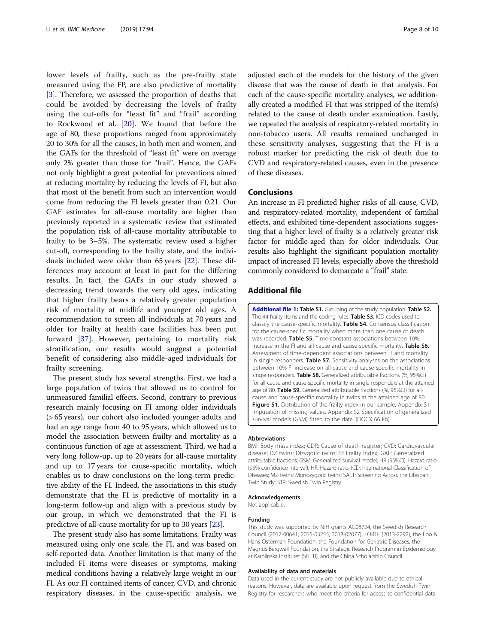<span id="page-7-0"></span>lower levels of frailty, such as the pre-frailty state measured using the FP, are also predictive of mortality [[3\]](#page-8-0). Therefore, we assessed the proportion of deaths that could be avoided by decreasing the levels of frailty using the cut-offs for "least fit" and "frail" according to Rockwood et al. [[20\]](#page-8-0). We found that before the age of 80, these proportions ranged from approximately 20 to 30% for all the causes, in both men and women, and the GAFs for the threshold of "least fit" were on average only 2% greater than those for "frail". Hence, the GAFs not only highlight a great potential for preventions aimed at reducing mortality by reducing the levels of FI, but also that most of the benefit from such an intervention would come from reducing the FI levels greater than 0.21. Our GAF estimates for all-cause mortality are higher than previously reported in a systematic review that estimated the population risk of all-cause mortality attributable to frailty to be 3–5%. The systematic review used a higher cut-off, corresponding to the frailty state, and the individuals included were older than 65 years [\[22](#page-8-0)]. These differences may account at least in part for the differing results. In fact, the GAFs in our study showed a decreasing trend towards the very old ages, indicating that higher frailty bears a relatively greater population risk of mortality at midlife and younger old ages. A recommendation to screen all individuals at 70 years and older for frailty at health care facilities has been put forward [[37](#page-9-0)]. However, pertaining to mortality risk stratification, our results would suggest a potential benefit of considering also middle-aged individuals for frailty screening.

The present study has several strengths. First, we had a large population of twins that allowed us to control for unmeasured familial effects. Second, contrary to previous research mainly focusing on FI among older individuals (> 65 years), our cohort also included younger adults and had an age range from 40 to 95 years, which allowed us to model the association between frailty and mortality as a continuous function of age at assessment. Third, we had a very long follow-up, up to 20 years for all-cause mortality and up to 17 years for cause-specific mortality, which enables us to draw conclusions on the long-term predictive ability of the FI. Indeed, the associations in this study demonstrate that the FI is predictive of mortality in a long-term follow-up and align with a previous study by our group, in which we demonstrated that the FI is predictive of all-cause mortality for up to 30 years [[23](#page-8-0)].

The present study also has some limitations. Frailty was measured using only one scale, the FI, and was based on self-reported data. Another limitation is that many of the included FI items were diseases or symptoms, making medical conditions having a relatively large weight in our FI. As our FI contained items of cancer, CVD, and chronic respiratory diseases, in the cause-specific analysis, we

adjusted each of the models for the history of the given disease that was the cause of death in that analysis. For each of the cause-specific mortality analyses, we additionally created a modified FI that was stripped of the item(s) related to the cause of death under examination. Lastly, we repeated the analysis of respiratory-related mortality in non-tobacco users. All results remained unchanged in these sensitivity analyses, suggesting that the FI is a robust marker for predicting the risk of death due to CVD and respiratory-related causes, even in the presence of these diseases.

#### Conclusions

An increase in FI predicted higher risks of all-cause, CVD, and respiratory-related mortality, independent of familial effects, and exhibited time-dependent associations suggesting that a higher level of frailty is a relatively greater risk factor for middle-aged than for older individuals. Our results also highlight the significant population mortality impact of increased FI levels, especially above the threshold commonly considered to demarcate a "frail" state.

#### Additional file

[Additional file 1:](https://doi.org/10.1186/s12916-019-1331-8) Table S1. Grouping of the study population. Table S2. The 44 frailty items and the coding rules. Table S3. ICD codes used to classify the cause-specific mortality. Table S4. Consensus classification for the cause-specific mortality when more than one cause of death was recorded. Table S5. Time-constant associations between 10% increase in the FI and all-cause and cause-specific mortality. Table S6. Assessment of time-dependent associations between FI and mortality in single responders. Table S7. Sensitivity analyses on the associations between 10% FI increase on all-cause and cause-specific mortality in single responders. Table S8. Generalized attributable fractions (%, 95%CI) for all-cause and cause-specific mortality in single responders at the attained age of 80. Table S9. Generalized attributable fractions (%, 95%CI) for allcause and cause-specific mortality in twins at the attained age of 80. Figure S1. Distribution of the frailty index in our sample. Appendix S1 Imputation of missing values. Appendix S2 Specification of generalized survival models (GSM) fitted to the data. (DOCX 66 kb)

#### Abbreviations

BMI: Body mass index; CDR: Cause of death register; CVD: Cardiovascular disease; DZ twins: Dizygotic twins; FI: Frailty index; GAF: Generalized attributable fractions; GSM: Generalized survival model; HR (95%CI): Hazard ratio (95% confidence interval); HR: Hazard ratio; ICD: International Classification of Diseases; MZ twins: Monozygotic twins; SALT: Screening Across the Lifespan Twin Study; STR: Swedish Twin Registry

#### Acknowledgements

Not applicable.

#### Funding

This study was supported by NIH grants AG08724, the Swedish Research Council (2017-00641, 2015-03255, 2018-02077), FORTE (2013-2292), the Loo & Hans Osterman Foundation, the Foundation for Geriatric Diseases, the Magnus Bergwall Foundation, the Strategic Research Program in Epidemiology at Karolinska Institutet (SH, JJ), and the China Scholarship Council.

#### Availability of data and materials

Data used in the current study are not publicly available due to ethical reasons. However, data are available upon request from the Swedish Twin Registry for researchers who meet the criteria for access to confidential data.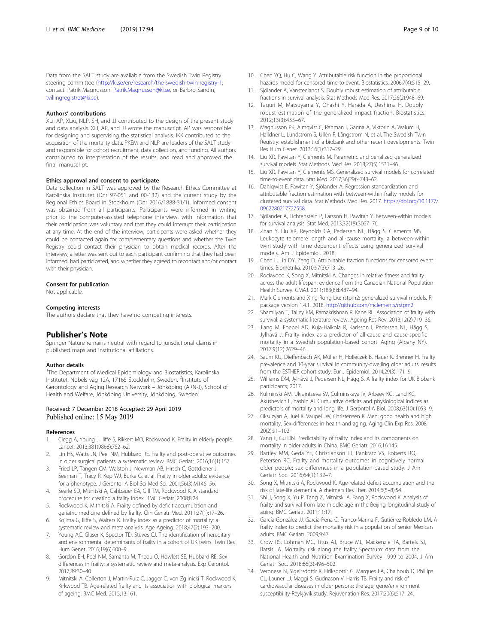<span id="page-8-0"></span>Data from the SALT study are available from the Swedish Twin Registry steering committee ([http://ki.se/en/research/the-swedish-twin-registry-1;](http://ki.se/en/research/the-swedish-twin-registry-1) contact: Patrik Magnusson' [Patrik.Magnusson@ki.se,](mailto:Patrik.Magnusson@ki.se) or Barbro Sandin, [tvillingregistret@ki.se\)](mailto:tvillingregistret@ki.se).

#### Authors' contributions

XLi, AP, XLiu, NLP, SH, and JJ contributed to the design of the present study and data analysis. XLi, AP, and JJ wrote the manuscript. AP was responsible for designing and supervising the statistical analysis. IKK contributed to the acquisition of the mortality data. PKEM and NLP are leaders of the SALT study and responsible for cohort recruitment, data collection, and funding. All authors contributed to interpretation of the results, and read and approved the final manuscript.

#### Ethics approval and consent to participate

Data collection in SALT was approved by the Research Ethics Committee at Karolinska Institutet (Dnr 97-051 and 00-132) and the current study by the Regional Ethics Board in Stockholm (Dnr 2016/1888-31/1). Informed consent was obtained from all participants. Participants were informed in writing prior to the computer-assisted telephone interview, with information that their participation was voluntary and that they could interrupt their participation at any time. At the end of the interview, participants were asked whether they could be contacted again for complementary questions and whether the Twin Registry could contact their physician to obtain medical records. After the interview, a letter was sent out to each participant confirming that they had been informed, had participated, and whether they agreed to recontact and/or contact with their physician.

#### Consent for publication

Not applicable.

#### Competing interests

The authors declare that they have no competing interests.

#### Publisher's Note

Springer Nature remains neutral with regard to jurisdictional claims in published maps and institutional affiliations.

#### Author details

<sup>1</sup>The Department of Medical Epidemiology and Biostatistics, Karolinska Institutet, Nobels väg 12A, 17165 Stockholm, Sweden. <sup>2</sup>Institute of Gerontology and Aging Research Network – Jönköping (ARN-J), School of Health and Welfare, Jönköping University, Jönköping, Sweden.

#### Received: 7 December 2018 Accepted: 29 April 2019 Published online: 15 May 2019

#### References

- 1. Clegg A, Young J, Iliffe S, Rikkert MO, Rockwood K. Frailty in elderly people. Lancet. 2013;381(9868):752–62.
- 2. Lin HS, Watts JN, Peel NM, Hubbard RE. Frailty and post-operative outcomes in older surgical patients: a systematic review. BMC Geriatr. 2016;16(1):157.
- 3. Fried LP, Tangen CM, Walston J, Newman AB, Hirsch C, Gottdiener J, Seeman T, Tracy R, Kop WJ, Burke G, et al. Frailty in older adults: evidence for a phenotype. J Gerontol A Biol Sci Med Sci. 2001;56(3):M146–56.
- 4. Searle SD, Mitnitski A, Gahbauer EA, Gill TM, Rockwood K. A standard procedure for creating a frailty index. BMC Geriatr. 2008;8:24.
- 5. Rockwood K, Mitnitski A. Frailty defined by deficit accumulation and geriatric medicine defined by frailty. Clin Geriatr Med. 2011;27(1):17–26.
- 6. Kojima G, Iliffe S, Walters K. Frailty index as a predictor of mortality: a systematic review and meta-analysis. Age Ageing. 2018;47(2):193–200.
- 7. Young AC, Glaser K, Spector TD, Steves CJ. The identification of hereditary and environmental determinants of frailty in a cohort of UK twins. Twin Res Hum Genet. 2016;19(6):600–9.
- 8. Gordon EH, Peel NM, Samanta M, Theou O, Howlett SE, Hubbard RE. Sex differences in frailty: a systematic review and meta-analysis. Exp Gerontol. 2017;89:30–40.
- 9. Mitnitski A, Collerton J, Martin-Ruiz C, Jagger C, von Zglinicki T, Rockwood K, Kirkwood TB. Age-related frailty and its association with biological markers of ageing. BMC Med. 2015;13:161.
- 10. Chen YQ, Hu C, Wang Y. Attributable risk function in the proportional hazards model for censored time-to-event. Biostatistics. 2006;7(4):515–29.
- 11. Sjölander A, Vansteelandt S. Doubly robust estimation of attributable fractions in survival analysis. Stat Methods Med Res. 2017;26(2):948–69.
- 12. Taguri M, Matsuyama Y, Ohashi Y, Harada A, Ueshima H. Doubly robust estimation of the generalized impact fraction. Biostatistics. 2012;13(3):455–67.
- 13. Magnusson PK, Almqvist C, Rahman I, Ganna A, Viktorin A, Walum H, Halldner L, Lundström S, Ullén F, Långström N, et al. The Swedish Twin Registry: establishment of a biobank and other recent developments. Twin Res Hum Genet. 2013;16(1):317–29.
- 14. Liu XR, Pawitan Y, Clements M. Parametric and penalized generalized survival models. Stat Methods Med Res. 2018;27(5):1531–46.
- 15. Liu XR, Pawitan Y, Clements MS. Generalized survival models for correlated time-to-event data. Stat Med. 2017;36(29):4743–62.
- 16. Dahlqwist E, Pawitan Y, Sjölander A. Regression standardization and attributable fraction estimation with between-within frailty models for clustered survival data. Stat Methods Med Res. 2017. [https://doi.org/10.1177/](https://doi.org/10.1177/0962280217727558) [0962280217727558](https://doi.org/10.1177/0962280217727558).
- 17. Sjölander A, Lichtenstein P, Larsson H, Pawitan Y. Between-within models for survival analysis. Stat Med. 2013;32(18):3067–76.
- 18. Zhan Y, Liu XR, Reynolds CA, Pedersen NL, Hägg S, Clements MS. Leukocyte telomere length and all-cause mortality: a between-within twin study with time dependent effects using generalized survival models. Am J Epidemiol. 2018.
- 19. Chen L, Lin DY, Zeng D. Attributable fraction functions for censored event times. Biometrika. 2010;97(3):713–26.
- 20. Rockwood K, Song X, Mitnitski A. Changes in relative fitness and frailty across the adult lifespan: evidence from the Canadian National Population Health Survey. CMAJ. 2011;183(8):E487–94.
- 21. Mark Clements and Xing-Rong Liu: rstpm2: generalized survival models. R package version 1.4.1. 2018. [http://github.com/mclements/rstpm2.](http://github.com/mclements/rstpm2)
- 22. Shamliyan T, Talley KM, Ramakrishnan R, Kane RL. Association of frailty with survival: a systematic literature review. Ageing Res Rev. 2013;12(2):719–36.
- 23. Jiang M, Foebel AD, Kuja-Halkola R, Karlsson I, Pedersen NL, Hägg S, Jylhävä J. Frailty index as a predictor of all-cause and cause-specific mortality in a Swedish population-based cohort. Aging (Albany NY). 2017;9(12):2629–46.
- 24. Saum KU, Dieffenbach AK, Müller H, Holleczek B, Hauer K, Brenner H. Frailty prevalence and 10-year survival in community-dwelling older adults: results from the ESTHER cohort study. Eur J Epidemiol. 2014;29(3):171–9.
- 25. Williams DM, Jylhävä J, Pedersen NL, Hägg S. A frailty index for UK Biobank participants; 2017.
- 26. Kulminski AM, Ukraintseva SV, Culminskaya IV, Arbeev KG, Land KC, Akushevich L, Yashin AI. Cumulative deficits and physiological indices as predictors of mortality and long life. J Gerontol A Biol. 2008;63(10):1053–9.
- 27. Oksuzyan A, Juel K, Vaupel JW, Christensen K. Men: good health and high mortality. Sex differences in health and aging. Aging Clin Exp Res. 2008; 20(2):91–102.
- 28. Yang F, Gu DN. Predictability of frailty index and its components on mortality in older adults in China. BMC Geriatr. 2016;16:145.
- 29. Bartley MM, Geda YE, Christianson TJ, Pankratz VS, Roberts RO, Petersen RC. Frailty and mortality outcomes in cognitively normal older people: sex differences in a population-based study. J Am Geriatr Soc. 2016;64(1):132–7.
- 30. Song X, Mitnitski A, Rockwood K. Age-related deficit accumulation and the risk of late-life dementia. Alzheimers Res Ther. 2014;6(5–8):54.
- 31. Shi J, Song X, Yu P, Tang Z, Mitnitski A, Fang X, Rockwood K. Analysis of frailty and survival from late middle age in the Beijing longitudinal study of aging. BMC Geriatr. 2011;11:17.
- 32. García-González JJ, García-Peña C, Franco-Marina F, Gutiérrez-Robledo LM. A frailty index to predict the mortality risk in a population of senior Mexican adults. BMC Geriatr. 2009;9:47.
- 33. Crow RS, Lohman MC, Titus AJ, Bruce ML, Mackenzie TA, Bartels SJ, Batsis JA. Mortality risk along the frailty Spectrum: data from the National Health and Nutrition Examination Survey 1999 to 2004. J Am Geriatr Soc. 2018;66(3):496–502.
- 34. Veronese N, Sigeirsdottir K, Eiriksdottir G, Marques EA, Chalhoub D, Phillips CL, Launer LJ, Maggi S, Gudnason V, Harris TB. Frailty and risk of cardiovascular diseases in older persons: the age, gene/environment susceptibility-Reykjavik study. Rejuvenation Res. 2017;20(6):517–24.